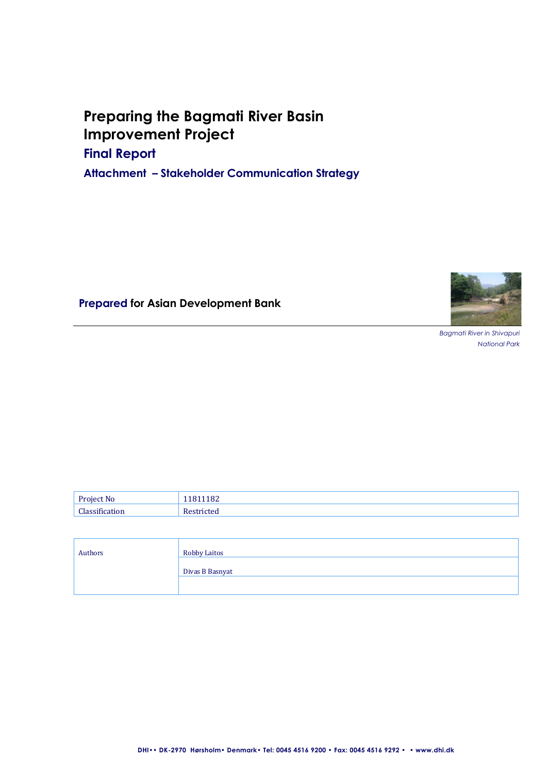# **Preparing the Bagmati River Basin Improvement Project**

**Final Report** 

**Attachment – Stakeholder Communication Strategy**

**Prepared for Asian Development Bank**



*Bagmati River in Shivapuri National Park*

| ÷<br>Daoinel<br>N <sub>c</sub> |  |
|--------------------------------|--|
| $\sim$                         |  |

| Authors | Robby Laitos    |
|---------|-----------------|
|         | Divas B Basnyat |
|         |                 |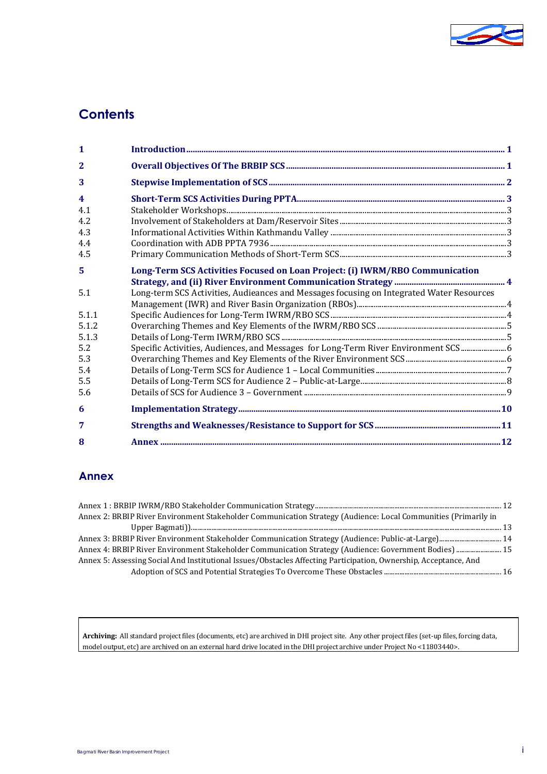

# **Contents**

| $\mathbf{1}$            |                                                                                          |  |
|-------------------------|------------------------------------------------------------------------------------------|--|
| $\overline{2}$          |                                                                                          |  |
| 3                       |                                                                                          |  |
| $\overline{\mathbf{4}}$ |                                                                                          |  |
| 4.1                     |                                                                                          |  |
| 4.2                     |                                                                                          |  |
| 4.3                     |                                                                                          |  |
| 4.4                     |                                                                                          |  |
| 4.5                     |                                                                                          |  |
| 5                       | Long-Term SCS Activities Focused on Loan Project: (i) IWRM/RBO Communication             |  |
|                         |                                                                                          |  |
| 5.1                     | Long-term SCS Activities, Audieances and Messages focusing on Integrated Water Resources |  |
|                         |                                                                                          |  |
| 5.1.1                   |                                                                                          |  |
| 5.1.2                   |                                                                                          |  |
| 5.1.3                   |                                                                                          |  |
| 5.2                     | Specific Activities, Audiences, and Messages for Long-Term River Environment SCS         |  |
| 5.3                     |                                                                                          |  |
| 5.4                     |                                                                                          |  |
| 5.5                     |                                                                                          |  |
| 5.6                     |                                                                                          |  |
| 6                       |                                                                                          |  |
| 7                       |                                                                                          |  |
| 8                       |                                                                                          |  |

# **Annex**

| Annex 2: BRBIP River Environment Stakeholder Communication Strategy (Audience: Local Communities (Primarily in   |  |
|------------------------------------------------------------------------------------------------------------------|--|
|                                                                                                                  |  |
|                                                                                                                  |  |
| Annex 4: BRBIP River Environment Stakeholder Communication Strategy (Audience: Government Bodies)  15            |  |
| Annex 5: Assessing Social And Institutional Issues/Obstacles Affecting Participation, Ownership, Acceptance, And |  |
|                                                                                                                  |  |

**Archiving:** All standard project files (documents, etc) are archived in DHI project site. Any other project files (set-up files, forcing data, model output, etc) are archived on an external hard drive located in the DHI project archive under Project No <11803440>.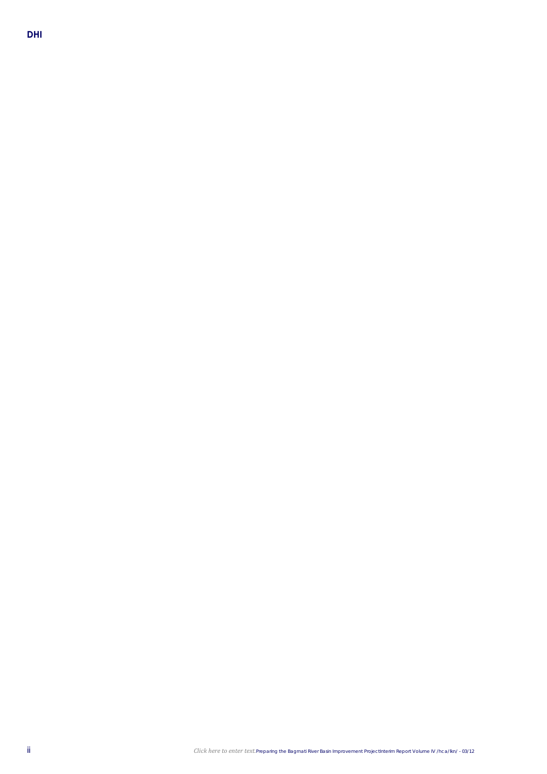**DHI**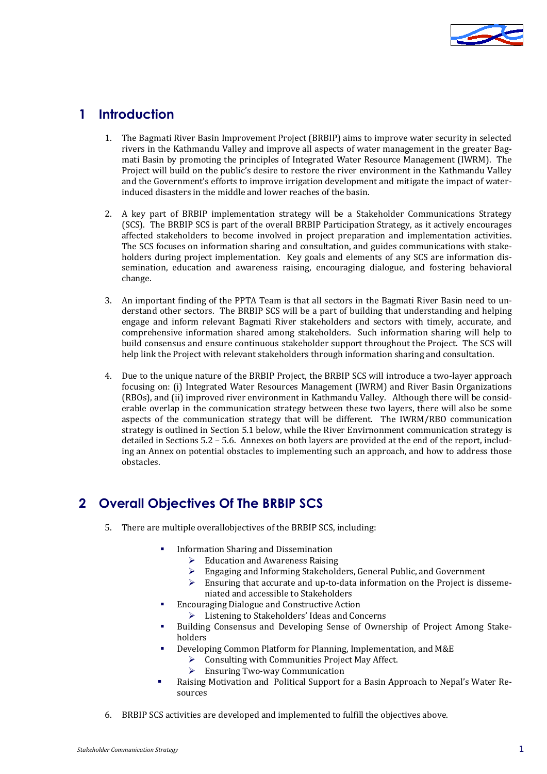

# **1 Introduction**

- 1. The Bagmati River Basin Improvement Project (BRBIP) aims to improve water security in selected rivers in the Kathmandu Valley and improve all aspects of water management in the greater Bagmati Basin by promoting the principles of Integrated Water Resource Management (IWRM). The Project will build on the public's desire to restore the river environment in the Kathmandu Valley and the Government's efforts to improve irrigation development and mitigate the impact of waterinduced disasters in the middle and lower reaches of the basin.
- 2. A key part of BRBIP implementation strategy will be a Stakeholder Communications Strategy (SCS). The BRBIP SCS is part of the overall BRBIP Participation Strategy, as it actively encourages affected stakeholders to become involved in project preparation and implementation activities. The SCS focuses on information sharing and consultation, and guides communications with stakeholders during project implementation. Key goals and elements of any SCS are information dissemination, education and awareness raising, encouraging dialogue, and fostering behavioral change.
- 3. An important finding of the PPTA Team is that all sectors in the Bagmati River Basin need to understand other sectors. The BRBIP SCS will be a part of building that understanding and helping engage and inform relevant Bagmati River stakeholders and sectors with timely, accurate, and comprehensive information shared among stakeholders. Such information sharing will help to build consensus and ensure continuous stakeholder support throughout the Project. The SCS will help link the Project with relevant stakeholders through information sharing and consultation.
- 4. Due to the unique nature of the BRBIP Project, the BRBIP SCS will introduce a two-layer approach focusing on: (i) Integrated Water Resources Management (IWRM) and River Basin Organizations (RBOs), and (ii) improved river environment in Kathmandu Valley. Although there will be considerable overlap in the communication strategy between these two layers, there will also be some aspects of the communication strategy that will be different. The IWRM/RBO communication strategy is outlined in Section 5.1 below, while the River Envirnonment communication strategy is detailed in Sections 5.2 – 5.6. Annexes on both layers are provided at the end of the report, including an Annex on potential obstacles to implementing such an approach, and how to address those obstacles.

# **2 Overall Objectives Of The BRBIP SCS**

- 5. There are multiple overallobjectives of the BRBIP SCS, including:
	- Information Sharing and Dissemination
		- $\triangleright$  Education and Awareness Raising
		- Engaging and Informing Stakeholders, General Public, and Government  $\geq$  Ensuring that accurate and un-to-data information on the Project is dis
		- Ensuring that accurate and up-to-data information on the Project is dissemeniated and accessible to Stakeholders
	- Encouraging Dialogue and Constructive Action
		- Eistening to Stakeholders' Ideas and Concerns
	- Building Consensus and Developing Sense of Ownership of Project Among Stakeholders
	- Developing Common Platform for Planning, Implementation, and M&E
		- $\triangleright$  Consulting with Communities Project May Affect.
		- $\triangleright$  Ensuring Two-way Communication
	- Raising Motivation and Political Support for a Basin Approach to Nepal's Water Resources
- 6. BRBIP SCS activities are developed and implemented to fulfill the objectives above.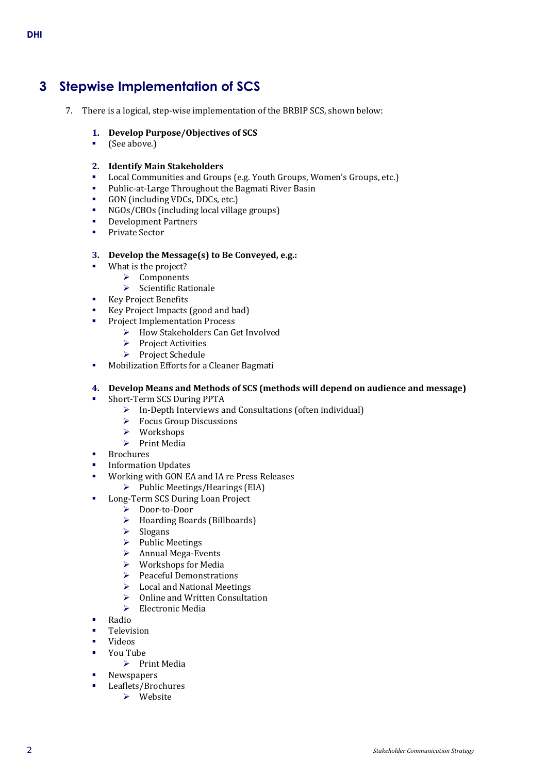# **3 Stepwise Implementation of SCS**

7. There is a logical, step-wise implementation of the BRBIP SCS, shown below:

## **1. Develop Purpose/Objectives of SCS**

■ (See above.)

## **2. Identify Main Stakeholders**

- Local Communities and Groups (e.g. Youth Groups, Women's Groups, etc.)
- Public-at-Large Throughout the Bagmati River Basin
- GON (including VDCs, DDCs, etc.)
- NGOs/CBOs (including local village groups)
- Development Partners
- Private Sector

## **3. Develop the Message(s) to Be Conveyed, e.g.:**

- What is the project?
	- $\triangleright$  Components
	- $\triangleright$  Scientific Rationale
- Key Project Benefits
- Key Project Impacts (good and bad)
- Project Implementation Process
	- > How Stakeholders Can Get Involved
	- $\triangleright$  Project Activities
	- Project Schedule
- **Mobilization Efforts for a Cleaner Bagmati**

## **4. Develop Means and Methods of SCS (methods will depend on audience and message)**

- Short-Term SCS During PPTA
	- $\triangleright$  In-Depth Interviews and Consultations (often individual)
	- ▶ Focus Group Discussions
	- Workshops
	- $\triangleright$  Print Media
- Brochures
- Information Updates
- Working with GON EA and IA re Press Releases
	- $\triangleright$  Public Meetings/Hearings (EIA)
	- Long-Term SCS During Loan Project
		- $\geqslant$  Door-to-Door<br> $\geqslant$  Hoarding Board
		- Hoarding Boards (Billboards)
		- $\triangleright$  Slogans
		- $\blacktriangleright$  Public Meetings
		- > Annual Mega-Events
		- $\triangleright$  Workshops for Media
		- $\triangleright$  Peaceful Demonstrations
		- $\geq$  Local and National Meetings<br> $\geq$  Online and Written Consulta
		- $\geq$  Online and Written Consultation<br> $\geq$  Flectronic Media
		- Electronic Media
- Radio
- Television
- Videos
	- You Tube
		- $\triangleright$  Print Media
- Newspapers
- Leaflets/Brochures
	- $\triangleright$  Website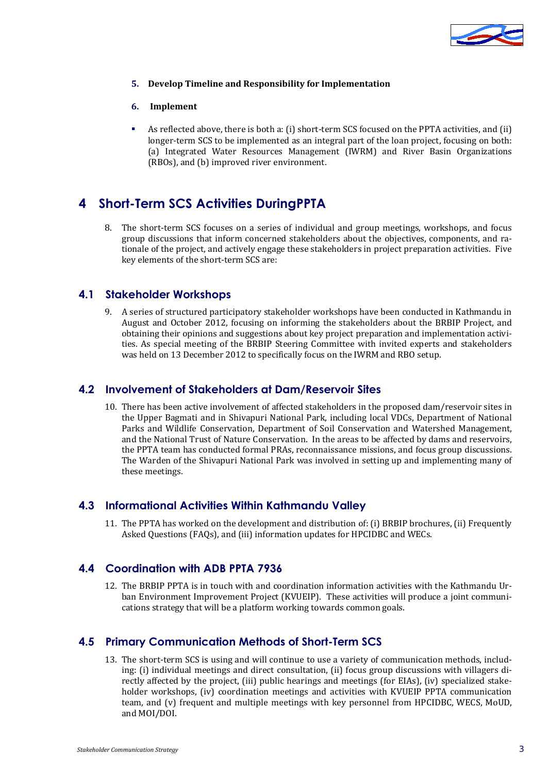

## **5. Develop Timeline and Responsibility for Implementation**

## **6. Implement**

 As reflected above, there is both a: (i) short-term SCS focused on the PPTA activities, and (ii) longer-term SCS to be implemented as an integral part of the loan project, focusing on both: (a) Integrated Water Resources Management (IWRM) and River Basin Organizations (RBOs), and (b) improved river environment.

# **4 Short-Term SCS Activities DuringPPTA**

8. The short-term SCS focuses on a series of individual and group meetings, workshops, and focus group discussions that inform concerned stakeholders about the objectives, components, and rationale of the project, and actively engage these stakeholders in project preparation activities. Five key elements of the short-term SCS are:

# **4.1 Stakeholder Workshops**

9. A series of structured participatory stakeholder workshops have been conducted in Kathmandu in August and October 2012, focusing on informing the stakeholders about the BRBIP Project, and obtaining their opinions and suggestions about key project preparation and implementation activities. As special meeting of the BRBIP Steering Committee with invited experts and stakeholders was held on 13 December 2012 to specifically focus on the IWRM and RBO setup.

# **4.2 Involvement of Stakeholders at Dam/Reservoir Sites**

10. There has been active involvement of affected stakeholders in the proposed dam/reservoir sites in the Upper Bagmati and in Shivapuri National Park, including local VDCs, Department of National Parks and Wildlife Conservation, Department of Soil Conservation and Watershed Management, and the National Trust of Nature Conservation. In the areas to be affected by dams and reservoirs, the PPTA team has conducted formal PRAs, reconnaissance missions, and focus group discussions. The Warden of the Shivapuri National Park was involved in setting up and implementing many of these meetings.

# **4.3 Informational Activities Within Kathmandu Valley**

11. The PPTA has worked on the development and distribution of: (i) BRBIP brochures, (ii) Frequently Asked Questions (FAQs), and (iii) information updates for HPCIDBC and WECs.

# **4.4 Coordination with ADB PPTA 7936**

12. The BRBIP PPTA is in touch with and coordination information activities with the Kathmandu Urban Environment Improvement Project (KVUEIP). These activities will produce a joint communications strategy that will be a platform working towards common goals.

# **4.5 Primary Communication Methods of Short-Term SCS**

13. The short-term SCS is using and will continue to use a variety of communication methods, including: (i) individual meetings and direct consultation, (ii) focus group discussions with villagers directly affected by the project, (iii) public hearings and meetings (for EIAs), (iv) specialized stakeholder workshops, (iv) coordination meetings and activities with KVUEIP PPTA communication team, and (v) frequent and multiple meetings with key personnel from HPCIDBC, WECS, MoUD, and MOI/DOI.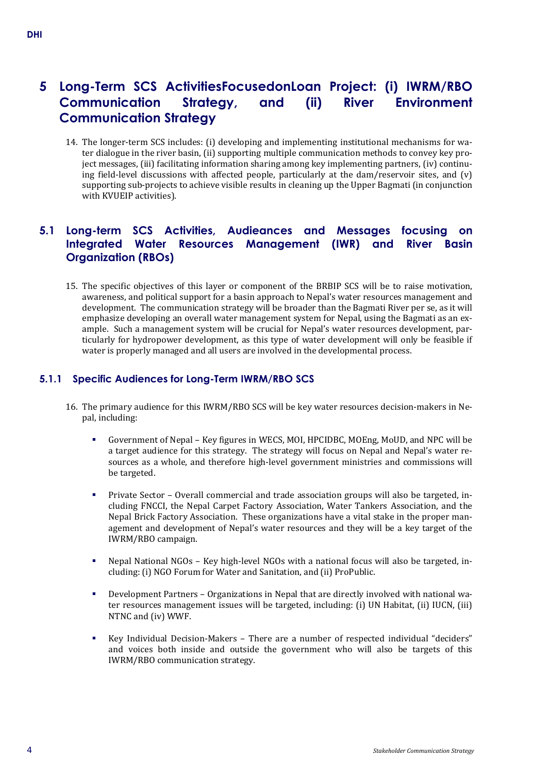# **5 Long-Term SCS ActivitiesFocusedonLoan Project: (i) IWRM/RBO Communication Strategy, and (ii) River Environment Communication Strategy**

14. The longer-term SCS includes: (i) developing and implementing institutional mechanisms for water dialogue in the river basin, (ii) supporting multiple communication methods to convey key project messages, (iii) facilitating information sharing among key implementing partners, (iv) continuing field-level discussions with affected people, particularly at the dam/reservoir sites, and (v) supporting sub-projects to achieve visible results in cleaning up the Upper Bagmati (in conjunction with KVUEIP activities).

# **5.1 Long-term SCS Activities, Audieances and Messages focusing on Integrated Water Resources Management (IWR) and River Basin Organization (RBOs)**

15. The specific objectives of this layer or component of the BRBIP SCS will be to raise motivation, awareness, and political support for a basin approach to Nepal's water resources management and development. The communication strategy will be broader than the Bagmati River per se, as it will emphasize developing an overall water management system for Nepal, using the Bagmati as an example. Such a management system will be crucial for Nepal's water resources development, particularly for hydropower development, as this type of water development will only be feasible if water is properly managed and all users are involved in the developmental process.

# **5.1.1 Specific Audiences for Long-Term IWRM/RBO SCS**

- 16. The primary audience for this IWRM/RBO SCS will be key water resources decision-makers in Nepal, including:
	- Government of Nepal Key figures in WECS, MOI, HPCIDBC, MOEng, MoUD, and NPC will be a target audience for this strategy. The strategy will focus on Nepal and Nepal's water resources as a whole, and therefore high-level government ministries and commissions will be targeted.
	- Private Sector Overall commercial and trade association groups will also be targeted, including FNCCI, the Nepal Carpet Factory Association, Water Tankers Association, and the Nepal Brick Factory Association. These organizations have a vital stake in the proper management and development of Nepal's water resources and they will be a key target of the IWRM/RBO campaign.
	- Nepal National NGOs Key high-level NGOs with a national focus will also be targeted, including: (i) NGO Forum for Water and Sanitation, and (ii) ProPublic.
	- Development Partners Organizations in Nepal that are directly involved with national water resources management issues will be targeted, including: (i) UN Habitat, (ii) IUCN, (iii) NTNC and (iv) WWF.
	- Key Individual Decision-Makers There are a number of respected individual "deciders" and voices both inside and outside the government who will also be targets of this IWRM/RBO communication strategy.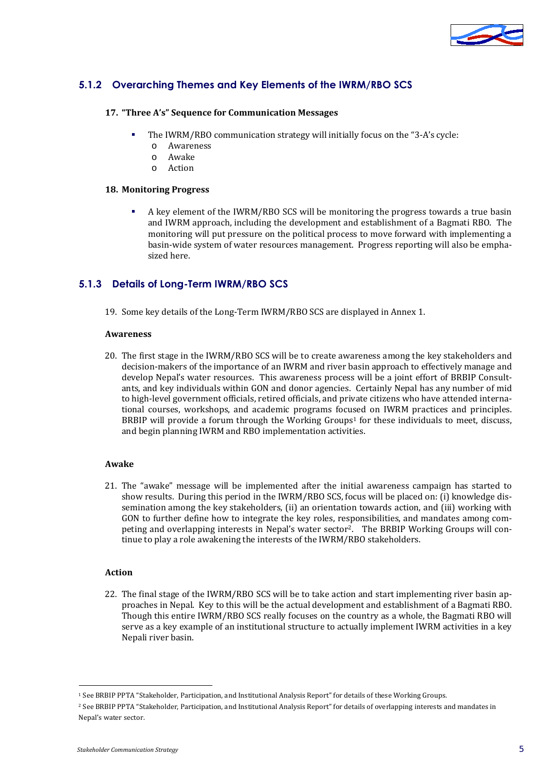

# **5.1.2 Overarching Themes and Key Elements of the IWRM/RBO SCS**

### **17. "Three A's" Sequence for Communication Messages**

- The IWRM/RBO communication strategy will initially focus on the "3-A's cycle:
	- o Awareness
	- o Awake<br>o Action
	- Action

## **18. Monitoring Progress**

 A key element of the IWRM/RBO SCS will be monitoring the progress towards a true basin and IWRM approach, including the development and establishment of a Bagmati RBO. The monitoring will put pressure on the political process to move forward with implementing a basin-wide system of water resources management. Progress reporting will also be emphasized here.

# **5.1.3 Details of Long-Term IWRM/RBO SCS**

19. Some key details of the Long-Term IWRM/RBO SCS are displayed in Annex 1.

## **Awareness**

20. The first stage in the IWRM/RBO SCS will be to create awareness among the key stakeholders and decision-makers of the importance of an IWRM and river basin approach to effectively manage and develop Nepal's water resources. This awareness process will be a joint effort of BRBIP Consultants, and key individuals within GON and donor agencies. Certainly Nepal has any number of mid to high-level government officials, retired officials, and private citizens who have attended international courses, workshops, and academic programs focused on IWRM practices and principles. BRBIP will provide a forum through the Working Groups<sup>1</sup> for these individuals to meet, discuss, and begin planning IWRM and RBO implementation activities.

## **Awake**

21. The "awake" message will be implemented after the initial awareness campaign has started to show results. During this period in the IWRM/RBO SCS, focus will be placed on: (i) knowledge dissemination among the key stakeholders, (ii) an orientation towards action, and (iii) working with GON to further define how to integrate the key roles, responsibilities, and mandates among competing and overlapping interests in Nepal's water sector2. The BRBIP Working Groups will continue to play a role awakening the interests of the IWRM/RBO stakeholders.

### **Action**

22. The final stage of the IWRM/RBO SCS will be to take action and start implementing river basin approaches in Nepal. Key to this will be the actual development and establishment of a Bagmati RBO. Though this entire IWRM/RBO SCS really focuses on the country as a whole, the Bagmati RBO will serve as a key example of an institutional structure to actually implement IWRM activities in a key Nepali river basin.

j

<sup>1</sup> See BRBIP PPTA "Stakeholder, Participation, and Institutional Analysis Report" for details of these Working Groups.

<sup>2</sup> See BRBIP PPTA "Stakeholder, Participation, and Institutional Analysis Report" for details of overlapping interests and mandates in Nepal's water sector.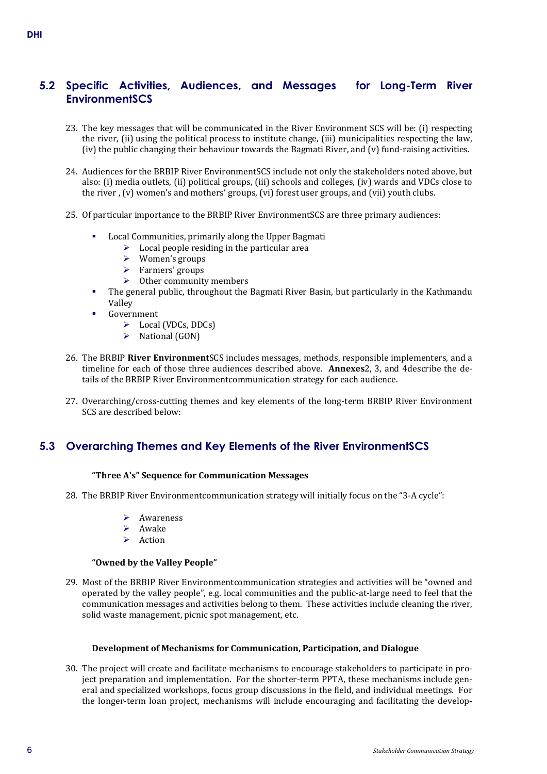# **5.2 Specific Activities, Audiences, and Messages for Long-Term River EnvironmentSCS**

- 23. The key messages that will be communicated in the River Environment SCS will be: (i) respecting the river, (ii) using the political process to institute change, (iii) municipalities respecting the law, (iv) the public changing their behaviour towards the Bagmati River, and (v) fund-raising activities.
- 24. Audiences for the BRBIP River EnvironmentSCS include not only the stakeholders noted above, but also: (i) media outlets, (ii) political groups, (iii) schools and colleges, (iv) wards and VDCs close to the river , (v) women's and mothers' groups, (vi) forest user groups, and (vii) youth clubs.
- 25. Of particular importance to the BRBIP River EnvironmentSCS are three primary audiences:
	- Local Communities, primarily along the Upper Bagmati
		- $\triangleright$  Local people residing in the particular area
		- Women's groups
		- Farmers' groups
		- $\triangleright$  Other community members
	- The general public, throughout the Bagmati River Basin, but particularly in the Kathmandu Valley
	- Government
		- $\triangleright$  Local (VDCs, DDCs)
		- $\triangleright$  National (GON)
- 26. The BRBIP **River Environment**SCS includes messages, methods, responsible implementers, and a timeline for each of those three audiences described above. **Annexes**2, 3, and 4describe the details of the BRBIP River Environmentcommunication strategy for each audience.
- 27. Overarching/cross-cutting themes and key elements of the long-term BRBIP River Environment SCS are described below:

# **5.3 Overarching Themes and Key Elements of the River EnvironmentSCS**

### **"Three A's" Sequence for Communication Messages**

- 28. The BRBIP River Environmentcommunication strategy will initially focus on the "3-A cycle":
	- **►** Awareness
	- $\triangleright$  Awake
	- $\triangleright$  Action

### **"Owned by the Valley People"**

29. Most of the BRBIP River Environmentcommunication strategies and activities will be "owned and operated by the valley people", e.g. local communities and the public-at-large need to feel that the communication messages and activities belong to them. These activities include cleaning the river, solid waste management, picnic spot management, etc.

#### **Development of Mechanisms for Communication, Participation, and Dialogue**

30. The project will create and facilitate mechanisms to encourage stakeholders to participate in project preparation and implementation. For the shorter-term PPTA, these mechanisms include general and specialized workshops, focus group discussions in the field, and individual meetings. For the longer-term loan project, mechanisms will include encouraging and facilitating the develop-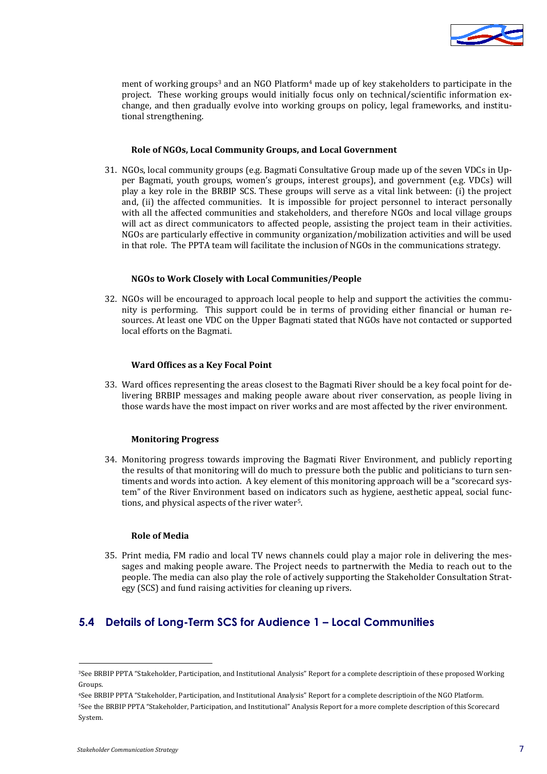

ment of working groups<sup>3</sup> and an NGO Platform<sup>4</sup> made up of key stakeholders to participate in the project. These working groups would initially focus only on technical/scientific information exchange, and then gradually evolve into working groups on policy, legal frameworks, and institutional strengthening.

#### **Role of NGOs, Local Community Groups, and Local Government**

31. NGOs, local community groups (e.g. Bagmati Consultative Group made up of the seven VDCs in Upper Bagmati, youth groups, women's groups, interest groups), and government (e.g. VDCs) will play a key role in the BRBIP SCS. These groups will serve as a vital link between: (i) the project and, (ii) the affected communities. It is impossible for project personnel to interact personally with all the affected communities and stakeholders, and therefore NGOs and local village groups will act as direct communicators to affected people, assisting the project team in their activities. NGOs are particularly effective in community organization/mobilization activities and will be used in that role. The PPTA team will facilitate the inclusion of NGOs in the communications strategy.

#### **NGOs to Work Closely with Local Communities/People**

32. NGOs will be encouraged to approach local people to help and support the activities the community is performing. This support could be in terms of providing either financial or human resources. At least one VDC on the Upper Bagmati stated that NGOs have not contacted or supported local efforts on the Bagmati.

#### **Ward Offices as a Key Focal Point**

33. Ward offices representing the areas closest to the Bagmati River should be a key focal point for delivering BRBIP messages and making people aware about river conservation, as people living in those wards have the most impact on river works and are most affected by the river environment.

#### **Monitoring Progress**

34. Monitoring progress towards improving the Bagmati River Environment, and publicly reporting the results of that monitoring will do much to pressure both the public and politicians to turn sentiments and words into action. A key element of this monitoring approach will be a "scorecard system" of the River Environment based on indicators such as hygiene, aesthetic appeal, social functions, and physical aspects of the river water5.

#### **Role of Media**

35. Print media, FM radio and local TV news channels could play a major role in delivering the messages and making people aware. The Project needs to partnerwith the Media to reach out to the people. The media can also play the role of actively supporting the Stakeholder Consultation Strategy (SCS) and fund raising activities for cleaning up rivers.

# **5.4 Details of Long-Term SCS for Audience 1 – Local Communities**

j

<sup>3</sup>See BRBIP PPTA "Stakeholder, Participation, and Institutional Analysis" Report for a complete descriptioin of these proposed Working Groups.

<sup>4</sup>See BRBIP PPTA "Stakeholder, Participation, and Institutional Analysis" Report for a complete descriptioin of the NGO Platform. 5See the BRBIP PPTA "Stakeholder, Participation, and Institutional" Analysis Report for a more complete description of this Scorecard System.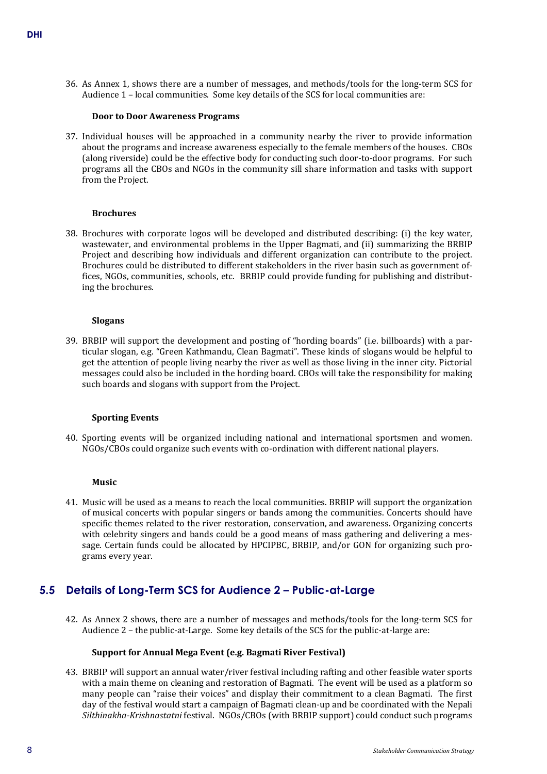36. As Annex 1, shows there are a number of messages, and methods/tools for the long-term SCS for Audience 1 – local communities. Some key details of the SCS for local communities are:

#### **Door to Door Awareness Programs**

37. Individual houses will be approached in a community nearby the river to provide information about the programs and increase awareness especially to the female members of the houses. CBOs (along riverside) could be the effective body for conducting such door-to-door programs. For such programs all the CBOs and NGOs in the community sill share information and tasks with support from the Project.

#### **Brochures**

38. Brochures with corporate logos will be developed and distributed describing: (i) the key water, wastewater, and environmental problems in the Upper Bagmati, and (ii) summarizing the BRBIP Project and describing how individuals and different organization can contribute to the project. Brochures could be distributed to different stakeholders in the river basin such as government offices, NGOs, communities, schools, etc. BRBIP could provide funding for publishing and distributing the brochures.

#### **Slogans**

39. BRBIP will support the development and posting of "hording boards" (i.e. billboards) with a particular slogan, e.g. "Green Kathmandu, Clean Bagmati". These kinds of slogans would be helpful to get the attention of people living nearby the river as well as those living in the inner city. Pictorial messages could also be included in the hording board. CBOs will take the responsibility for making such boards and slogans with support from the Project.

#### **Sporting Events**

40. Sporting events will be organized including national and international sportsmen and women. NGOs/CBOs could organize such events with co-ordination with different national players.

### **Music**

41. Music will be used as a means to reach the local communities. BRBIP will support the organization of musical concerts with popular singers or bands among the communities. Concerts should have specific themes related to the river restoration, conservation, and awareness. Organizing concerts with celebrity singers and bands could be a good means of mass gathering and delivering a message. Certain funds could be allocated by HPCIPBC, BRBIP, and/or GON for organizing such programs every year.

# **5.5 Details of Long-Term SCS for Audience 2 – Public-at-Large**

42. As Annex 2 shows, there are a number of messages and methods/tools for the long-term SCS for Audience 2 – the public-at-Large. Some key details of the SCS for the public-at-large are:

### **Support for Annual Mega Event (e.g. Bagmati River Festival)**

43. BRBIP will support an annual water/river festival including rafting and other feasible water sports with a main theme on cleaning and restoration of Bagmati. The event will be used as a platform so many people can "raise their voices" and display their commitment to a clean Bagmati. The first day of the festival would start a campaign of Bagmati clean-up and be coordinated with the Nepali *Silthinakha-Krishnastatni* festival. NGOs/CBOs (with BRBIP support) could conduct such programs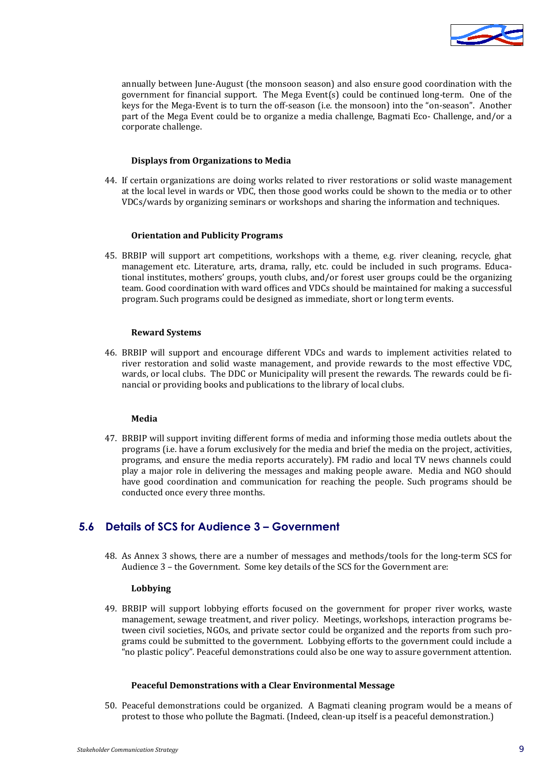

annually between June-August (the monsoon season) and also ensure good coordination with the government for financial support. The Mega Event(s) could be continued long-term. One of the keys for the Mega-Event is to turn the off-season (i.e. the monsoon) into the "on-season". Another part of the Mega Event could be to organize a media challenge, Bagmati Eco- Challenge, and/or a corporate challenge.

#### **Displays from Organizations to Media**

44. If certain organizations are doing works related to river restorations or solid waste management at the local level in wards or VDC, then those good works could be shown to the media or to other VDCs/wards by organizing seminars or workshops and sharing the information and techniques.

#### **Orientation and Publicity Programs**

45. BRBIP will support art competitions, workshops with a theme, e.g. river cleaning, recycle, ghat management etc. Literature, arts, drama, rally, etc. could be included in such programs. Educational institutes, mothers' groups, youth clubs, and/or forest user groups could be the organizing team. Good coordination with ward offices and VDCs should be maintained for making a successful program. Such programs could be designed as immediate, short or long term events.

#### **Reward Systems**

46. BRBIP will support and encourage different VDCs and wards to implement activities related to river restoration and solid waste management, and provide rewards to the most effective VDC, wards, or local clubs. The DDC or Municipality will present the rewards. The rewards could be financial or providing books and publications to the library of local clubs.

## **Media**

47. BRBIP will support inviting different forms of media and informing those media outlets about the programs (i.e. have a forum exclusively for the media and brief the media on the project, activities, programs, and ensure the media reports accurately). FM radio and local TV news channels could play a major role in delivering the messages and making people aware. Media and NGO should have good coordination and communication for reaching the people. Such programs should be conducted once every three months.

## **5.6 Details of SCS for Audience 3 – Government**

48. As Annex 3 shows, there are a number of messages and methods/tools for the long-term SCS for Audience 3 – the Government. Some key details of the SCS for the Government are:

#### **Lobbying**

49. BRBIP will support lobbying efforts focused on the government for proper river works, waste management, sewage treatment, and river policy. Meetings, workshops, interaction programs between civil societies, NGOs, and private sector could be organized and the reports from such programs could be submitted to the government. Lobbying efforts to the government could include a "no plastic policy". Peaceful demonstrations could also be one way to assure government attention.

#### **Peaceful Demonstrations with a Clear Environmental Message**

50. Peaceful demonstrations could be organized. A Bagmati cleaning program would be a means of protest to those who pollute the Bagmati. (Indeed, clean-up itself is a peaceful demonstration.)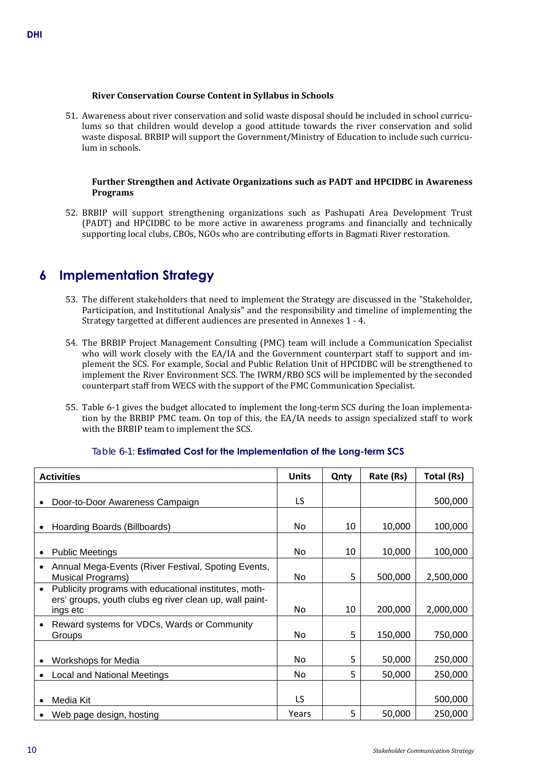## **River Conservation Course Content in Syllabus in Schools**

51. Awareness about river conservation and solid waste disposal should be included in school curriculums so that children would develop a good attitude towards the river conservation and solid waste disposal. BRBIP will support the Government/Ministry of Education to include such curriculum in schools.

### **Further Strengthen and Activate Organizations such as PADT and HPCIDBC in Awareness Programs**

52. BRBIP will support strengthening organizations such as Pashupati Area Development Trust (PADT) and HPCIDBC to be more active in awareness programs and financially and technically supporting local clubs, CBOs, NGOs who are contributing efforts in Bagmati River restoration.

# **6 Implementation Strategy**

- 53. The different stakeholders that need to implement the Strategy are discussed in the "Stakeholder, Participation, and Institutional Analysis" and the responsibility and timeline of implementing the Strategy targetted at different audiences are presented in Annexes 1 - 4.
- 54. The BRBIP Project Management Consulting (PMC) team will include a Communication Specialist who will work closely with the EA/IA and the Government counterpart staff to support and implement the SCS. For example, Social and Public Relation Unit of HPCIDBC will be strengthened to implement the River Environment SCS. The IWRM/RBO SCS will be implemented by the seconded counterpart staff from WECS with the support of the PMC Communication Specialist.
- 55. [Table 6-1](#page-13-0) gives the budget allocated to implement the long-term SCS during the loan implementation by the BRBIP PMC team. On top of this, the EA/IA needs to assign specialized staff to work with the BRBIP team to implement the SCS.

<span id="page-13-0"></span>

| <b>Activities</b>                                                                                                                         | <b>Units</b> | Qnty | Rate (Rs) | Total (Rs) |
|-------------------------------------------------------------------------------------------------------------------------------------------|--------------|------|-----------|------------|
|                                                                                                                                           |              |      |           |            |
| Door-to-Door Awareness Campaign<br>$\bullet$                                                                                              | LS           |      |           | 500,000    |
|                                                                                                                                           |              |      |           |            |
| Hoarding Boards (Billboards)<br>٠                                                                                                         | No.          | 10   | 10,000    | 100,000    |
| <b>Public Meetings</b><br>٠                                                                                                               | No.          | 10   | 10,000    | 100,000    |
| Annual Mega-Events (River Festival, Spoting Events,<br><b>Musical Programs)</b>                                                           | No.          | 5    | 500,000   | 2,500,000  |
| Publicity programs with educational institutes, moth-<br>$\bullet$<br>ers' groups, youth clubs eg river clean up, wall paint-<br>ings etc | No.          | 10   | 200,000   | 2,000,000  |
| Reward systems for VDCs, Wards or Community<br>$\bullet$<br>Groups                                                                        | No.          | 5    | 150,000   | 750,000    |
| <b>Workshops for Media</b><br>$\bullet$                                                                                                   | No.          | 5    | 50,000    | 250,000    |
| <b>Local and National Meetings</b><br>$\bullet$                                                                                           | No           | 5    | 50,000    | 250,000    |
|                                                                                                                                           |              |      |           |            |
| Media Kit<br>$\bullet$                                                                                                                    | LS           |      |           | 500,000    |
| Web page design, hosting                                                                                                                  | Years        | 5    | 50,000    | 250,000    |

## Table 6-1: **Estimated Cost for the Implementation of the Long-term SCS**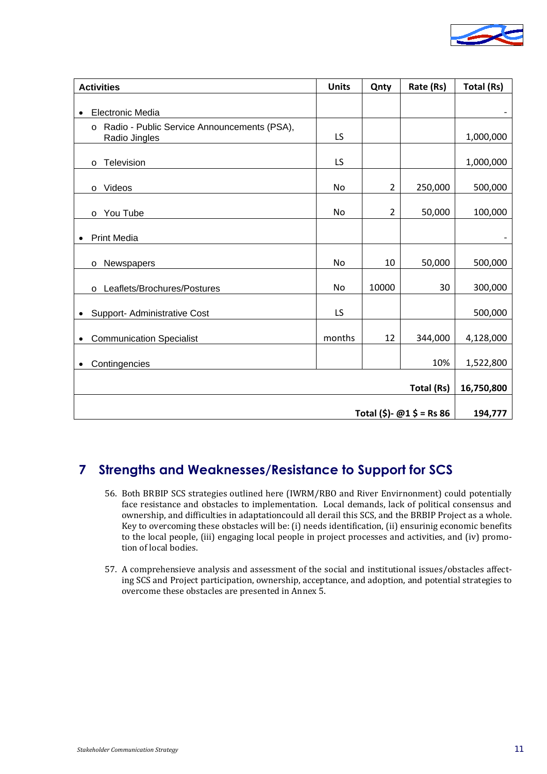

| <b>Activities</b>                                              | <b>Units</b> | Qnty           | Rate (Rs)  | <b>Total (Rs)</b> |
|----------------------------------------------------------------|--------------|----------------|------------|-------------------|
| <b>Electronic Media</b><br>$\bullet$                           |              |                |            |                   |
| o Radio - Public Service Announcements (PSA),<br>Radio Jingles | LS           |                |            | 1,000,000         |
| Television<br>$\circ$                                          | LS           |                |            | 1,000,000         |
| Videos<br>$\circ$                                              | No           | $\overline{2}$ | 250,000    | 500,000           |
| You Tube<br>$\circ$                                            | No           | $\overline{2}$ | 50,000     | 100,000           |
| <b>Print Media</b>                                             |              |                |            |                   |
| Newspapers<br>$\circ$                                          | No           | 10             | 50,000     | 500,000           |
| Leaflets/Brochures/Postures<br>$\circ$                         | No           | 10000          | 30         | 300,000           |
| Support- Administrative Cost<br>٠                              | LS           |                |            | 500,000           |
| <b>Communication Specialist</b><br>٠                           | months       | 12             | 344,000    | 4,128,000         |
| Contingencies<br>٠                                             |              |                | 10%        | 1,522,800         |
|                                                                |              |                | Total (Rs) | 16,750,800        |
| Total (\$)- $@1$ \$ = Rs 86                                    |              |                | 194,777    |                   |

# **7 Strengths and Weaknesses/Resistance to Support for SCS**

- 56. Both BRBIP SCS strategies outlined here (IWRM/RBO and River Envirnonment) could potentially face resistance and obstacles to implementation. Local demands, lack of political consensus and ownership, and difficulties in adaptationcould all derail this SCS, and the BRBIP Project as a whole. Key to overcoming these obstacles will be: (i) needs identification, (ii) ensurinig economic benefits to the local people, (iii) engaging local people in project processes and activities, and (iv) promotion of local bodies.
- 57. A comprehensieve analysis and assessment of the social and institutional issues/obstacles affecting SCS and Project participation, ownership, acceptance, and adoption, and potential strategies to overcome these obstacles are presented in Annex 5.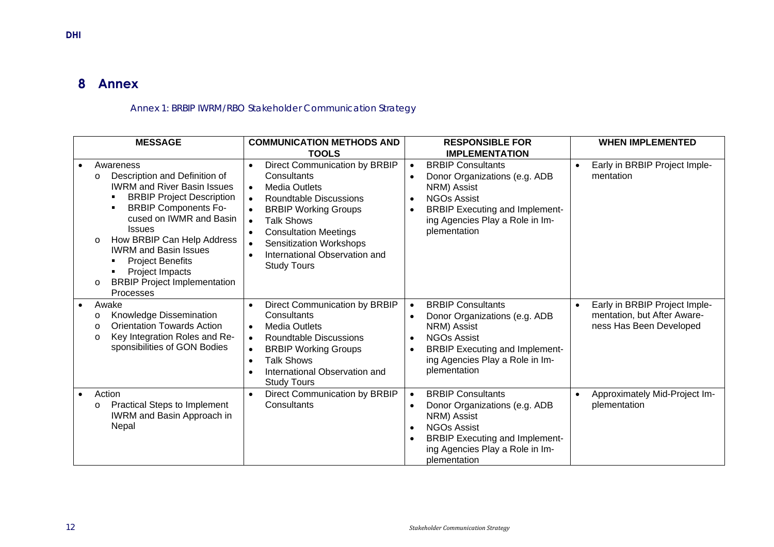# **8 Annex**

# Annex 1: BRBIP IWRM/RBO Stakeholder Communication Strategy

<span id="page-15-0"></span>

|           | <b>MESSAGE</b>                                                                                                                                                                                                                                                                                                                                                                                   | <b>COMMUNICATION METHODS AND</b><br><b>TOOLS</b>                                                                                                                                                                                                                                                                                                                                    | <b>RESPONSIBLE FOR</b><br><b>IMPLEMENTATION</b>                                                                                                                                                                      | <b>WHEN IMPLEMENTED</b>                                                                              |
|-----------|--------------------------------------------------------------------------------------------------------------------------------------------------------------------------------------------------------------------------------------------------------------------------------------------------------------------------------------------------------------------------------------------------|-------------------------------------------------------------------------------------------------------------------------------------------------------------------------------------------------------------------------------------------------------------------------------------------------------------------------------------------------------------------------------------|----------------------------------------------------------------------------------------------------------------------------------------------------------------------------------------------------------------------|------------------------------------------------------------------------------------------------------|
|           | Awareness<br>Description and Definition of<br>$\circ$<br><b>IWRM and River Basin Issues</b><br><b>BRBIP Project Description</b><br><b>BRBIP Components Fo-</b><br>cused on IWMR and Basin<br><b>Issues</b><br>How BRBIP Can Help Address<br>$\circ$<br><b>IWRM</b> and Basin Issues<br><b>Project Benefits</b><br>Project Impacts<br><b>BRBIP Project Implementation</b><br>$\circ$<br>Processes | Direct Communication by BRBIP<br>$\bullet$<br>Consultants<br><b>Media Outlets</b><br>$\bullet$<br><b>Roundtable Discussions</b><br>$\bullet$<br><b>BRBIP Working Groups</b><br>$\bullet$<br><b>Talk Shows</b><br>$\bullet$<br><b>Consultation Meetings</b><br>$\bullet$<br>Sensitization Workshops<br>$\bullet$<br>International Observation and<br>$\bullet$<br><b>Study Tours</b> | <b>BRBIP Consultants</b><br>$\bullet$<br>Donor Organizations (e.g. ADB<br>NRM) Assist<br><b>NGOs Assist</b><br>$\bullet$<br><b>BRBIP Executing and Implement-</b><br>ing Agencies Play a Role in Im-<br>plementation | Early in BRBIP Project Imple-<br>$\bullet$<br>mentation                                              |
| $\bullet$ | Awake<br>Knowledge Dissemination<br>$\circ$<br><b>Orientation Towards Action</b><br>$\circ$<br>Key Integration Roles and Re-<br>$\circ$<br>sponsibilities of GON Bodies                                                                                                                                                                                                                          | Direct Communication by BRBIP<br>$\bullet$<br>Consultants<br><b>Media Outlets</b><br>$\bullet$<br><b>Roundtable Discussions</b><br>$\bullet$<br><b>BRBIP Working Groups</b><br>$\bullet$<br><b>Talk Shows</b><br>$\bullet$<br>International Observation and<br>$\bullet$<br><b>Study Tours</b>                                                                                      | <b>BRBIP Consultants</b><br>$\bullet$<br>Donor Organizations (e.g. ADB<br>NRM) Assist<br><b>NGOs Assist</b><br><b>BRBIP Executing and Implement-</b><br>ing Agencies Play a Role in Im-<br>plementation              | Early in BRBIP Project Imple-<br>$\bullet$<br>mentation, but After Aware-<br>ness Has Been Developed |
|           | Action<br><b>Practical Steps to Implement</b><br>$\circ$<br><b>IWRM</b> and Basin Approach in<br>Nepal                                                                                                                                                                                                                                                                                           | Direct Communication by BRBIP<br>$\bullet$<br>Consultants                                                                                                                                                                                                                                                                                                                           | <b>BRBIP Consultants</b><br>$\bullet$<br>Donor Organizations (e.g. ADB<br>NRM) Assist<br><b>NGOs Assist</b><br><b>BRBIP Executing and Implement-</b><br>ing Agencies Play a Role in Im-<br>plementation              | Approximately Mid-Project Im-<br>plementation                                                        |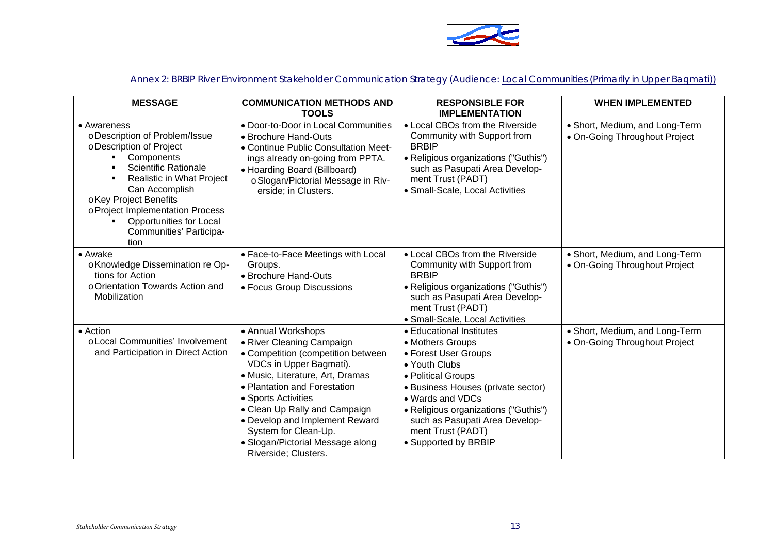

# Annex 2: BRBIP River Environment Stakeholder Communication Strategy (Audience: Local Communities (Primarily in Upper Bagmati))

<span id="page-16-0"></span>

| <b>MESSAGE</b>                                                                                                                                                                                                                                                                                           | <b>COMMUNICATION METHODS AND</b><br><b>TOOLS</b>                                                                                                                                                                                                                                                                                                                   | <b>RESPONSIBLE FOR</b><br><b>IMPLEMENTATION</b>                                                                                                                                                                                                                                              | <b>WHEN IMPLEMENTED</b>                                         |
|----------------------------------------------------------------------------------------------------------------------------------------------------------------------------------------------------------------------------------------------------------------------------------------------------------|--------------------------------------------------------------------------------------------------------------------------------------------------------------------------------------------------------------------------------------------------------------------------------------------------------------------------------------------------------------------|----------------------------------------------------------------------------------------------------------------------------------------------------------------------------------------------------------------------------------------------------------------------------------------------|-----------------------------------------------------------------|
| • Awareness<br>o Description of Problem/Issue<br>o Description of Project<br>Components<br><b>Scientific Rationale</b><br><b>Realistic in What Project</b><br>Can Accomplish<br>o Key Project Benefits<br>o Project Implementation Process<br>Opportunities for Local<br>Communities' Participa-<br>tion | • Door-to-Door in Local Communities<br>• Brochure Hand-Outs<br>• Continue Public Consultation Meet-<br>ings already on-going from PPTA.<br>• Hoarding Board (Billboard)<br>o Slogan/Pictorial Message in Riv-<br>erside; in Clusters.                                                                                                                              | • Local CBOs from the Riverside<br>Community with Support from<br><b>BRBIP</b><br>• Religious organizations ("Guthis")<br>such as Pasupati Area Develop-<br>ment Trust (PADT)<br>• Small-Scale, Local Activities                                                                             | • Short, Medium, and Long-Term<br>• On-Going Throughout Project |
| $\bullet$ Awake<br>o Knowledge Dissemination re Op-<br>tions for Action<br>o Orientation Towards Action and<br>Mobilization                                                                                                                                                                              | • Face-to-Face Meetings with Local<br>Groups.<br>• Brochure Hand-Outs<br>• Focus Group Discussions                                                                                                                                                                                                                                                                 | • Local CBOs from the Riverside<br>Community with Support from<br><b>BRBIP</b><br>• Religious organizations ("Guthis")<br>such as Pasupati Area Develop-<br>ment Trust (PADT)<br>• Small-Scale, Local Activities                                                                             | • Short, Medium, and Long-Term<br>• On-Going Throughout Project |
| $\bullet$ Action<br>o Local Communities' Involvement<br>and Participation in Direct Action                                                                                                                                                                                                               | • Annual Workshops<br>• River Cleaning Campaign<br>• Competition (competition between<br>VDCs in Upper Bagmati).<br>· Music, Literature, Art, Dramas<br>• Plantation and Forestation<br>• Sports Activities<br>• Clean Up Rally and Campaign<br>• Develop and Implement Reward<br>System for Clean-Up.<br>· Slogan/Pictorial Message along<br>Riverside; Clusters. | • Educational Institutes<br>• Mothers Groups<br>• Forest User Groups<br>• Youth Clubs<br>• Political Groups<br>• Business Houses (private sector)<br>• Wards and VDCs<br>• Religious organizations ("Guthis")<br>such as Pasupati Area Develop-<br>ment Trust (PADT)<br>• Supported by BRBIP | • Short, Medium, and Long-Term<br>• On-Going Throughout Project |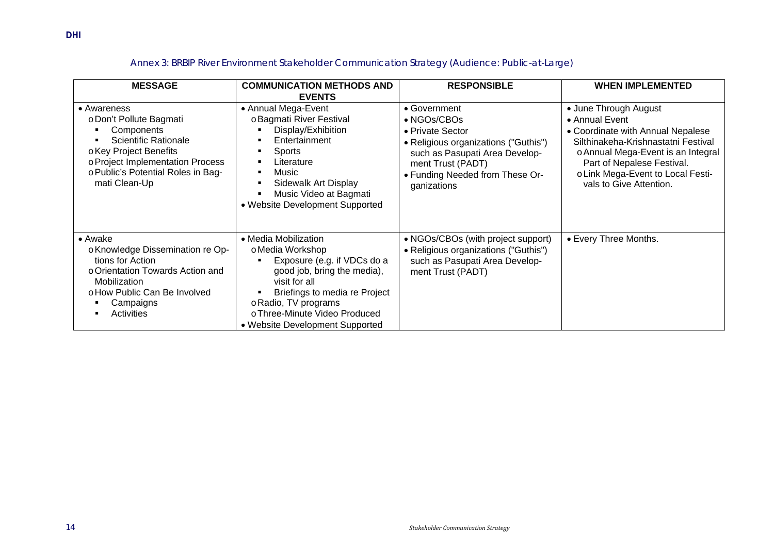<span id="page-17-0"></span>

| <b>MESSAGE</b>                                                                                                                                                                                           | <b>COMMUNICATION METHODS AND</b><br><b>EVENTS</b>                                                                                                                                                                                                    | <b>RESPONSIBLE</b>                                                                                                                                                                               | <b>WHEN IMPLEMENTED</b>                                                                                                                                                                                                                                 |
|----------------------------------------------------------------------------------------------------------------------------------------------------------------------------------------------------------|------------------------------------------------------------------------------------------------------------------------------------------------------------------------------------------------------------------------------------------------------|--------------------------------------------------------------------------------------------------------------------------------------------------------------------------------------------------|---------------------------------------------------------------------------------------------------------------------------------------------------------------------------------------------------------------------------------------------------------|
| • Awareness<br>o Don't Pollute Bagmati<br>Components<br><b>Scientific Rationale</b><br>o Key Project Benefits<br>o Project Implementation Process<br>o Public's Potential Roles in Bag-<br>mati Clean-Up | • Annual Mega-Event<br>o Bagmati River Festival<br>Display/Exhibition<br>Entertainment<br>п<br>Sports<br>Literature<br>п<br>Music<br>п<br>Sidewalk Art Display<br>в<br>Music Video at Bagmati<br>п<br>• Website Development Supported                | • Government<br>• NGOs/CBOs<br>• Private Sector<br>• Religious organizations ("Guthis")<br>such as Pasupati Area Develop-<br>ment Trust (PADT)<br>• Funding Needed from These Or-<br>ganizations | • June Through August<br>• Annual Event<br>• Coordinate with Annual Nepalese<br>Silthinakeha-Krishnastatni Festival<br>o Annual Mega-Event is an Integral<br>Part of Nepalese Festival.<br>o Link Mega-Event to Local Festi-<br>vals to Give Attention. |
| $\bullet$ Awake<br>o Knowledge Dissemination re Op-<br>tions for Action<br>o Orientation Towards Action and<br>Mobilization<br>o How Public Can Be Involved<br>Campaigns<br>Activities                   | • Media Mobilization<br>o Media Workshop<br>Exposure (e.g. if VDCs do a<br>good job, bring the media),<br>visit for all<br>Briefings to media re Project<br>o Radio, TV programs<br>o Three-Minute Video Produced<br>• Website Development Supported | • NGOs/CBOs (with project support)<br>• Religious organizations ("Guthis")<br>such as Pasupati Area Develop-<br>ment Trust (PADT)                                                                | • Every Three Months.                                                                                                                                                                                                                                   |

Annex 3: BRBIP River Environment Stakeholder Communication Strategy (Audience: Public-at-Large)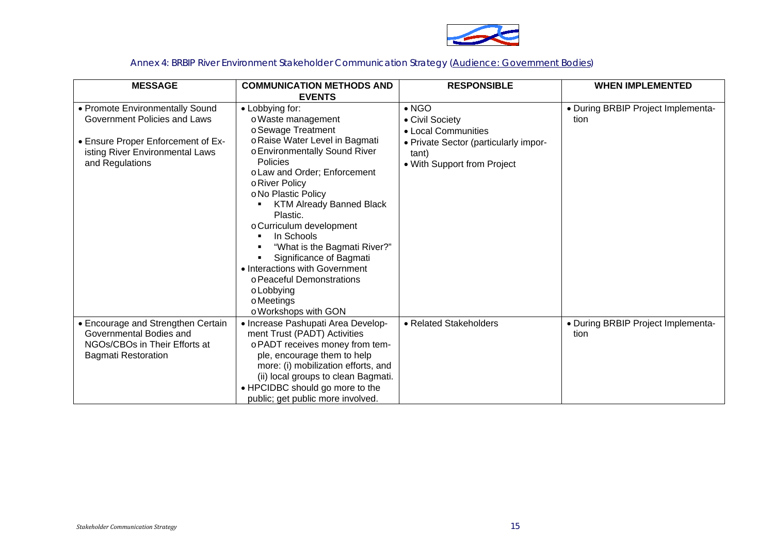

# Annex 4: BRBIP River Environment Stakeholder Communication Strategy (Audience: Government Bodies)

<span id="page-18-0"></span>

| <b>MESSAGE</b>                                                                                                                                              | <b>COMMUNICATION METHODS AND</b><br><b>EVENTS</b>                                                                                                                                                                                                                                                                                                                                                                                                                                                 | <b>RESPONSIBLE</b>                                                                                                                       | <b>WHEN IMPLEMENTED</b>                    |
|-------------------------------------------------------------------------------------------------------------------------------------------------------------|---------------------------------------------------------------------------------------------------------------------------------------------------------------------------------------------------------------------------------------------------------------------------------------------------------------------------------------------------------------------------------------------------------------------------------------------------------------------------------------------------|------------------------------------------------------------------------------------------------------------------------------------------|--------------------------------------------|
| • Promote Environmentally Sound<br>Government Policies and Laws<br>• Ensure Proper Enforcement of Ex-<br>isting River Environmental Laws<br>and Regulations | • Lobbying for:<br>o Waste management<br>o Sewage Treatment<br>o Raise Water Level in Bagmati<br>o Environmentally Sound River<br><b>Policies</b><br>o Law and Order; Enforcement<br>o River Policy<br>o No Plastic Policy<br><b>KTM Already Banned Black</b><br>Plastic.<br>o Curriculum development<br>In Schools<br>"What is the Bagmati River?"<br>Significance of Bagmati<br>• Interactions with Government<br>o Peaceful Demonstrations<br>o Lobbying<br>o Meetings<br>o Workshops with GON | $\bullet$ NGO<br>• Civil Society<br>• Local Communities<br>• Private Sector (particularly impor-<br>tant)<br>• With Support from Project | • During BRBIP Project Implementa-<br>tion |
| • Encourage and Strengthen Certain<br>Governmental Bodies and<br>NGOs/CBOs in Their Efforts at<br><b>Bagmati Restoration</b>                                | • Increase Pashupati Area Develop-<br>ment Trust (PADT) Activities<br>o PADT receives money from tem-<br>ple, encourage them to help<br>more: (i) mobilization efforts, and<br>(ii) local groups to clean Bagmati.<br>• HPCIDBC should go more to the<br>public; get public more involved.                                                                                                                                                                                                        | • Related Stakeholders                                                                                                                   | • During BRBIP Project Implementa-<br>tion |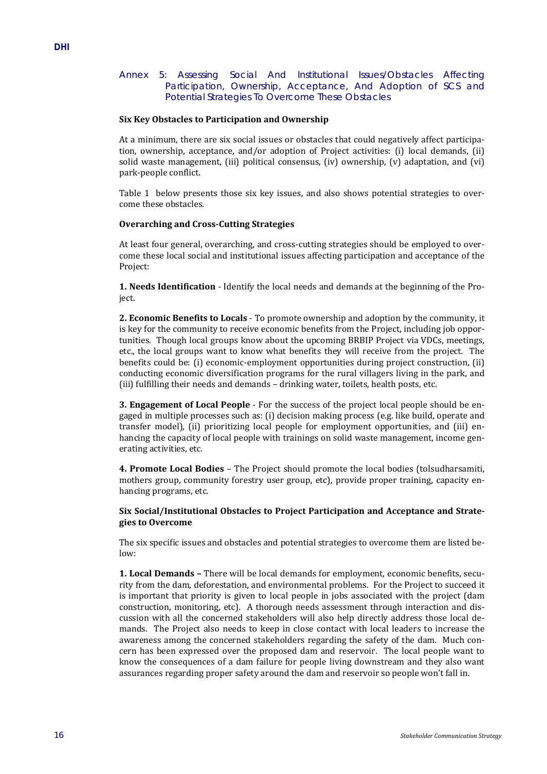## <span id="page-19-0"></span>Annex 5: Assessing Social And Institutional Issues/Obstacles Affecting Participation, Ownership, Acceptance, And Adoption of SCS and Potential Strategies To Overcome These Obstacles

## **Six Key Obstacles to Participation and Ownership**

At a minimum, there are six social issues or obstacles that could negatively affect participation, ownership, acceptance, and/or adoption of Project activities: (i) local demands, (ii) solid waste management, (iii) political consensus, (iv) ownership, (v) adaptation, and (vi) park-people conflict.

Table 1 below presents those six key issues, and also shows potential strategies to overcome these obstacles.

#### **Overarching and Cross-Cutting Strategies**

At least four general, overarching, and cross-cutting strategies should be employed to overcome these local social and institutional issues affecting participation and acceptance of the Project:

**1. Needs Identification** - Identify the local needs and demands at the beginning of the Project.

**2. Economic Benefits to Locals** - To promote ownership and adoption by the community, it is key for the community to receive economic benefits from the Project, including job opportunities. Though local groups know about the upcoming BRBIP Project via VDCs, meetings, etc., the local groups want to know what benefits they will receive from the project. The benefits could be: (i) economic-employment opportunities during project construction, (ii) conducting economic diversification programs for the rural villagers living in the park, and (iii) fulfilling their needs and demands – drinking water, toilets, health posts, etc.

**3. Engagement of Local People** - For the success of the project local people should be engaged in multiple processes such as: (i) decision making process (e.g. like build, operate and transfer model), (ii) prioritizing local people for employment opportunities, and (iii) enhancing the capacity of local people with trainings on solid waste management, income generating activities, etc.

**4. Promote Local Bodies** – The Project should promote the local bodies (tolsudharsamiti, mothers group, community forestry user group, etc), provide proper training, capacity enhancing programs, etc.

## **Six Social/Institutional Obstacles to Project Participation and Acceptance and Strategies to Overcome**

The six specific issues and obstacles and potential strategies to overcome them are listed below:

**1. Local Demands –** There will be local demands for employment, economic benefits, security from the dam, deforestation, and environmental problems. For the Project to succeed it is important that priority is given to local people in jobs associated with the project (dam construction, monitoring, etc). A thorough needs assessment through interaction and discussion with all the concerned stakeholders will also help directly address those local demands. The Project also needs to keep in close contact with local leaders to increase the awareness among the concerned stakeholders regarding the safety of the dam. Much concern has been expressed over the proposed dam and reservoir. The local people want to know the consequences of a dam failure for people living downstream and they also want assurances regarding proper safety around the dam and reservoir so people won't fall in.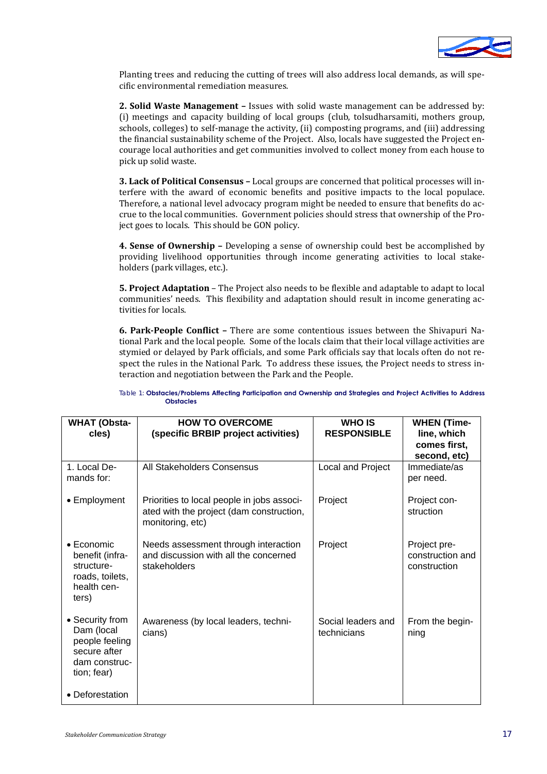

Planting trees and reducing the cutting of trees will also address local demands, as will specific environmental remediation measures.

**2. Solid Waste Management –** Issues with solid waste management can be addressed by: (i) meetings and capacity building of local groups (club, tolsudharsamiti, mothers group, schools, colleges) to self-manage the activity, (ii) composting programs, and (iii) addressing the financial sustainability scheme of the Project. Also, locals have suggested the Project encourage local authorities and get communities involved to collect money from each house to pick up solid waste.

**3. Lack of Political Consensus –** Local groups are concerned that political processes will interfere with the award of economic benefits and positive impacts to the local populace. Therefore, a national level advocacy program might be needed to ensure that benefits do accrue to the local communities. Government policies should stress that ownership of the Project goes to locals. This should be GON policy.

**4. Sense of Ownership –** Developing a sense of ownership could best be accomplished by providing livelihood opportunities through income generating activities to local stakeholders (park villages, etc.).

**5. Project Adaptation** – The Project also needs to be flexible and adaptable to adapt to local communities' needs. This flexibility and adaptation should result in income generating activities for locals.

**6. Park-People Conflict –** There are some contentious issues between the Shivapuri National Park and the local people. Some of the locals claim that their local village activities are stymied or delayed by Park officials, and some Park officials say that locals often do not respect the rules in the National Park. To address these issues, the Project needs to stress interaction and negotiation between the Park and the People.

| <b>WHAT (Obsta-</b><br>cles)                                                                    | <b>HOW TO OVERCOME</b><br>(specific BRBIP project activities)                                              | <b>WHO IS</b><br><b>RESPONSIBLE</b> | <b>WHEN (Time-</b><br>line, which<br>comes first,<br>second, etc) |
|-------------------------------------------------------------------------------------------------|------------------------------------------------------------------------------------------------------------|-------------------------------------|-------------------------------------------------------------------|
| 1. Local De-<br>mands for:                                                                      | All Stakeholders Consensus                                                                                 | Local and Project                   | Immediate/as<br>per need.                                         |
| • Employment                                                                                    | Priorities to local people in jobs associ-<br>ated with the project (dam construction,<br>monitoring, etc) | Project                             | Project con-<br>struction                                         |
| $\bullet$ Economic<br>benefit (infra-<br>structure-<br>roads, toilets,<br>health cen-<br>ters)  | Needs assessment through interaction<br>and discussion with all the concerned<br>stakeholders              | Project                             | Project pre-<br>construction and<br>construction                  |
| • Security from<br>Dam (local<br>people feeling<br>secure after<br>dam construc-<br>tion; fear) | Awareness (by local leaders, techni-<br>cians)                                                             | Social leaders and<br>technicians   | From the begin-<br>ning                                           |
| • Deforestation                                                                                 |                                                                                                            |                                     |                                                                   |

Table 1: **Obstacles/Problems Affecting Participation and Ownership and Strategies and Project Activities to Address Obstacles**